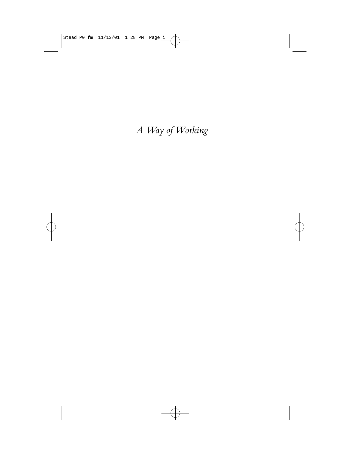Stead P0 fm 11/13/01 1:28 PM Page i $\bigoplus$ 

*A Way of Working*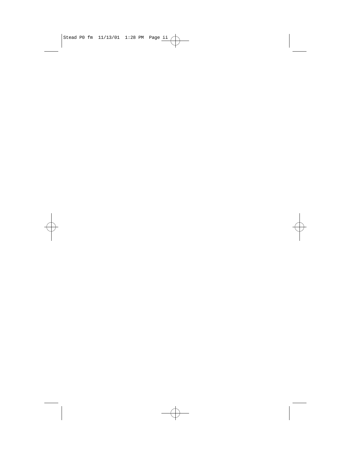Stead P0 fm 11/13/01 1:28 PM Page ii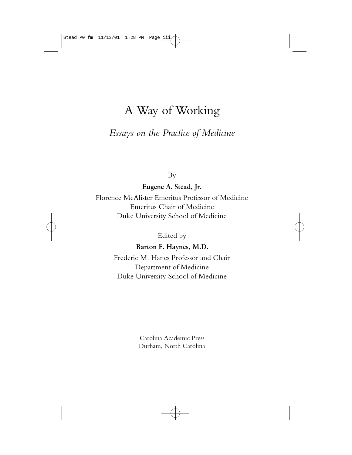Stead P0 fm 11/13/01 1:28 PM Page iii

# A Way of Working

# *Essays on the Practice of Medicine*

By

**Eugene A. Stead, Jr.**

Florence McAlister Emeritus Professor of Medicine Emeritus Chair of Medicine Duke University School of Medicine

Edited by

**Barton F. Haynes, M.D.** Frederic M. Hanes Professor and Chair Department of Medicine Duke University School of Medicine

> Carolina Academic Press Durham, North Carolina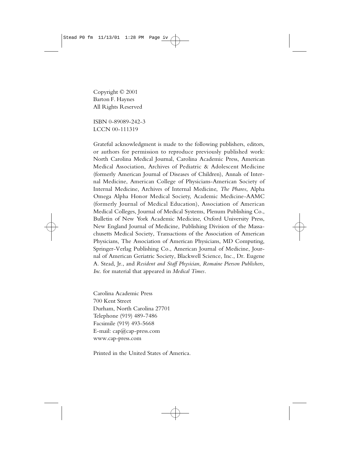Copyright © 2001 Barton F. Haynes All Rights Reserved

ISBN 0-89089-242-3 LCCN 00-111319

Grateful acknowledgment is made to the following publishers, editors, or authors for permission to reproduce previously published work: North Carolina Medical Journal, Carolina Academic Press, American Medical Association, Archives of Pediatric & Adolescent Medicine (formerly American Journal of Diseases of Children), Annals of Internal Medicine, American College of Physicians-American Society of Internal Medicine, Archives of Internal Medicine, *The Pharos*, Alpha Omega Alpha Honor Medical Society, Academic Medicine-AAMC (formerly Journal of Medical Education), Association of American Medical Colleges, Journal of Medical Systems, Plenum Publishing Co., Bulletin of New York Academic Medicine, Oxford University Press, New England Journal of Medicine, Publishing Division of the Massachusetts Medical Society, Transactions of the Association of American Physicians, The Association of American Physicians, MD Computing, Springer-Verlag Publishing Co., American Journal of Medicine, Journal of American Geriatric Society, Blackwell Science, Inc., Dr. Eugene A. Stead, Jr., and *Resident and Staff Physician*, *Romaine Pierson Publishers, Inc*. for material that appeared in *Medical Times*.

Carolina Academic Press 700 Kent Street Durham, North Carolina 27701 Telephone (919) 489-7486 Facsimile (919) 493-5668 E-mail: cap@cap-press.com www.cap-press.com

Printed in the United States of America.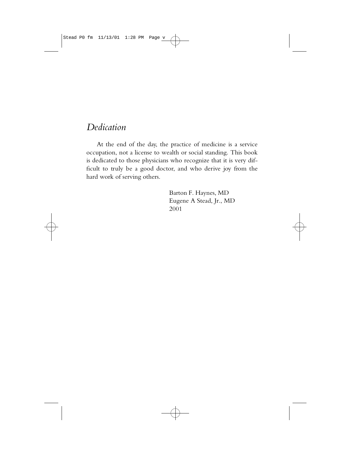# *Dedication*

At the end of the day, the practice of medicine is a service occupation, not a license to wealth or social standing. This book is dedicated to those physicians who recognize that it is very difficult to truly be a good doctor, and who derive joy from the hard work of serving others.

> Barton F. Haynes, MD Eugene A Stead, Jr., MD 2001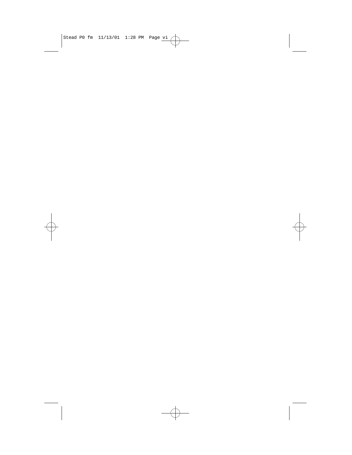| Stead P0 fm 11/13/01 1:28 PM Page vi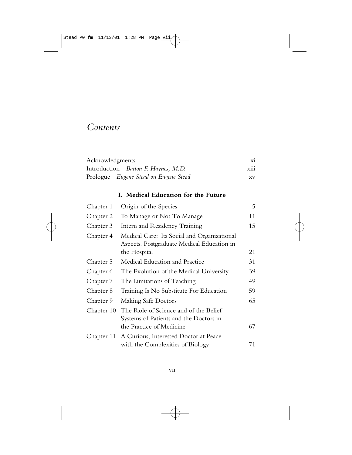| Acknowledgments                       | X1               |
|---------------------------------------|------------------|
| Introduction Barton F. Haynes, M.D.   | $\cdots$<br>X111 |
| Prologue Eugene Stead on Eugene Stead | XV               |

### **I. Medical Education for the Future**

| Chapter 1  | Origin of the Species                                                                     | 5. |
|------------|-------------------------------------------------------------------------------------------|----|
| Chapter 2  | To Manage or Not To Manage                                                                | 11 |
| Chapter 3  | Intern and Residency Training                                                             | 15 |
| Chapter 4  | Medical Care: Its Social and Organizational<br>Aspects. Postgraduate Medical Education in |    |
|            | the Hospital                                                                              | 21 |
| Chapter 5  | Medical Education and Practice                                                            | 31 |
| Chapter 6  | The Evolution of the Medical University                                                   | 39 |
| Chapter 7  | The Limitations of Teaching                                                               | 49 |
| Chapter 8  | Training Is No Substitute For Education                                                   | 59 |
| Chapter 9  | <b>Making Safe Doctors</b>                                                                | 65 |
| Chapter 10 | The Role of Science and of the Belief<br>Systems of Patients and the Doctors in           |    |
|            | the Practice of Medicine                                                                  | 67 |
| Chapter 11 | A Curious, Interested Doctor at Peace                                                     |    |
|            | with the Complexities of Biology                                                          | 71 |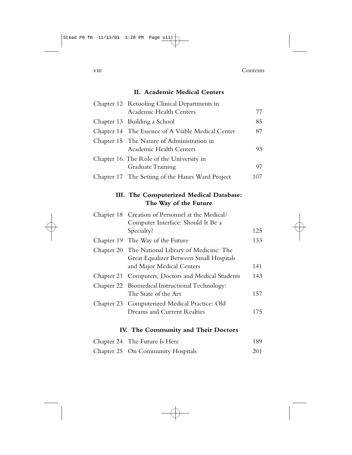### **II. Academic Medical Centers**

| Chapter 12 Retooling Clinical Departments in      |     |
|---------------------------------------------------|-----|
| Academic Health Centers                           | 77  |
| Chapter 13 Building a School                      | 85  |
| Chapter 14 The Essence of A Viable Medical Center | 87  |
| Chapter 15 The Nature of Administration in        |     |
| Academic Health Centers                           | 93  |
| Chapter 16. The Role of the University in         |     |
| Graduate Training                                 | 97  |
| Chapter 17 The Setting of the Hanes Ward Project  | 107 |

# **III. The Computerized Medical Database: The Way of the Future**

| Chapter 18 Creation of Personnel at the Medical/                                            |     |
|---------------------------------------------------------------------------------------------|-----|
| Computer Interface: Should It Be a                                                          |     |
| Specialty?                                                                                  | 125 |
| Chapter 19 The Way of the Future                                                            | 133 |
| Chapter 20 The National Library of Medicine: The<br>Great Equalizer Between Small Hospitals |     |
| and Major Medical Centers                                                                   | 141 |
| Chapter 21 Computers, Doctors and Medical Students                                          | 143 |
| Chapter 22 Biomedical Instructional Technology:<br>The State of the Art                     | 157 |
| Chapter 23 Computerized Medical Practice: Old<br>Dreams and Current Realties                | 175 |

# **IV. The Community and Their Doctors**

| Chapter 24 The Future Is Here     | 189 |
|-----------------------------------|-----|
| Chapter 25 On Community Hospitals | 201 |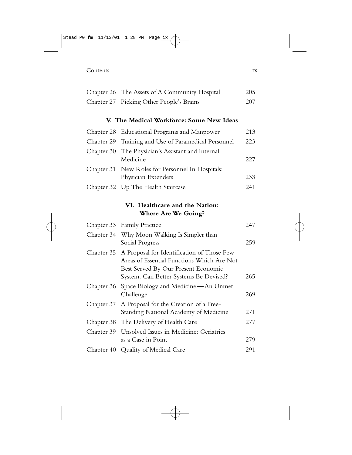| Chapter 26 The Assets of A Community Hospital | 205 |
|-----------------------------------------------|-----|
| Chapter 27 Picking Other People's Brains      | 207 |

#### **V. The Medical Workforce: Some New Ideas**

| Chapter 28 Educational Programs and Manpower                            | 213 |
|-------------------------------------------------------------------------|-----|
| Chapter 29 Training and Use of Paramedical Personnel                    | 223 |
| Chapter 30 The Physician's Assistant and Internal<br>Medicine           | 227 |
| Chapter 31 New Roles for Personnel In Hospitals:<br>Physician Extenders | 233 |
| Chapter 32 Up The Health Staircase                                      | 241 |

### **VI. Healthcare and the Nation: Where Are We Going?**

|            | Chapter 33 Family Practice                                                                                                                                                           | 247 |
|------------|--------------------------------------------------------------------------------------------------------------------------------------------------------------------------------------|-----|
|            | Chapter 34 Why Moon Walking Is Simpler than<br>Social Progress                                                                                                                       | 259 |
|            | Chapter 35 A Proposal for Identification of Those Few<br>Areas of Essential Functions Which Are Not<br>Best Served By Our Present Economic<br>System. Can Better Systems Be Devised? | 265 |
| Chapter 36 | Space Biology and Medicine - An Unmet<br>Challenge                                                                                                                                   | 269 |
|            | Chapter 37 A Proposal for the Creation of a Free-                                                                                                                                    |     |
|            | Standing National Academy of Medicine                                                                                                                                                | 271 |
| Chapter 38 | The Delivery of Health Care                                                                                                                                                          | 277 |
|            | Chapter 39 Unsolved Issues in Medicine: Geriatrics                                                                                                                                   |     |
|            | as a Case in Point                                                                                                                                                                   | 279 |
|            | Chapter 40 Quality of Medical Care                                                                                                                                                   | 291 |
|            |                                                                                                                                                                                      |     |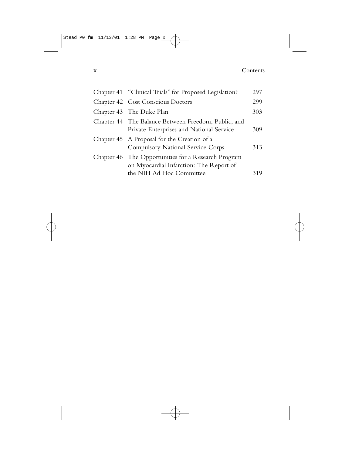| Chapter 41 "Clinical Trials" for Proposed Legislation?                                          | 297 |
|-------------------------------------------------------------------------------------------------|-----|
| Chapter 42 Cost Conscious Doctors                                                               | 299 |
| Chapter 43 The Duke Plan                                                                        | 303 |
| Chapter 44 The Balance Between Freedom, Public, and<br>Private Enterprises and National Service | 309 |
| Chapter 45 A Proposal for the Creation of a<br><b>Compulsory National Service Corps</b>         | 313 |
| Chapter 46 The Opportunities for a Research Program<br>on Myocardial Infarction: The Report of  |     |
| the NIH Ad Hoc Committee                                                                        | 319 |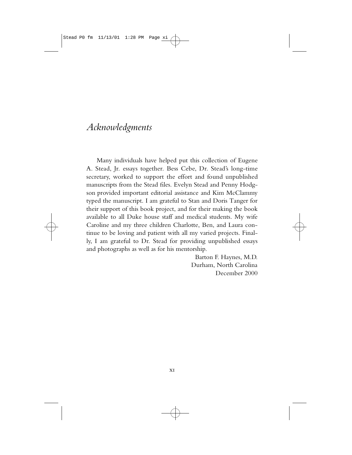Stead P0 fm 11/13/01 1:28 PM Page xi

# *Acknowledgments*

Many individuals have helped put this collection of Eugene A. Stead, Jr. essays together. Bess Cebe, Dr. Stead's long-time secretary, worked to support the effort and found unpublished manuscripts from the Stead files. Evelyn Stead and Penny Hodgson provided important editorial assistance and Kim McClammy typed the manuscript. I am grateful to Stan and Doris Tanger for their support of this book project, and for their making the book available to all Duke house staff and medical students. My wife Caroline and my three children Charlotte, Ben, and Laura continue to be loving and patient with all my varied projects. Finally, I am grateful to Dr. Stead for providing unpublished essays and photographs as well as for his mentorship.

> Barton F. Haynes, M.D. Durham, North Carolina December 2000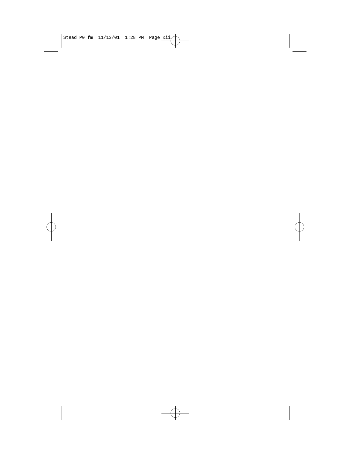Stead P0 fm  $11/13/01$  1:28 PM Page  $xii$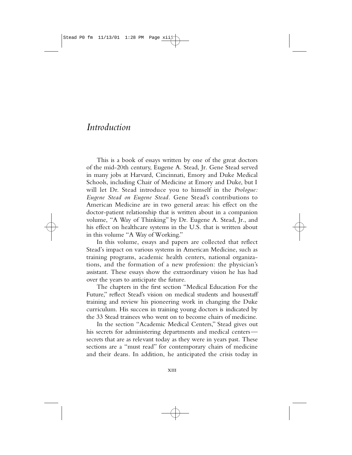Stead P0 fm 11/13/01 1:28 PM Page xi

# *Introduction*

This is a book of essays written by one of the great doctors of the mid-20th century, Eugene A. Stead, Jr. Gene Stead served in many jobs at Harvard, Cincinnati, Emory and Duke Medical Schools, including Chair of Medicine at Emory and Duke, but I will let Dr. Stead introduce you to himself in the *Prologue: Eugene Stead on Eugene Stead.* Gene Stead's contributions to American Medicine are in two general areas: his effect on the doctor-patient relationship that is written about in a companion volume, "A Way of Thinking" by Dr. Eugene A. Stead, Jr., and his effect on healthcare systems in the U.S. that is written about in this volume "A Way of Working."

In this volume, essays and papers are collected that reflect Stead's impact on various systems in American Medicine, such as training programs, academic health centers, national organizations, and the formation of a new profession: the physician's assistant. These essays show the extraordinary vision he has had over the years to anticipate the future.

The chapters in the first section "Medical Education For the Future," reflect Stead's vision on medical students and housestaff training and review his pioneering work in changing the Duke curriculum. His success in training young doctors is indicated by the 33 Stead trainees who went on to become chairs of medicine.

In the section "Academic Medical Centers," Stead gives out his secrets for administering departments and medical centers secrets that are as relevant today as they were in years past. These sections are a "must read" for contemporary chairs of medicine and their deans. In addition, he anticipated the crisis today in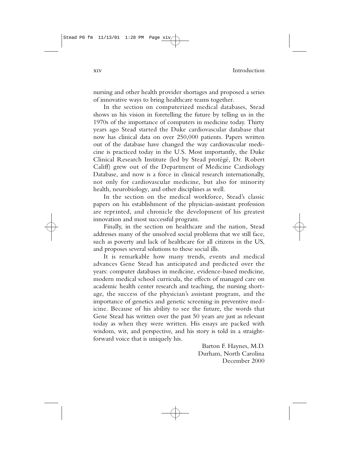Introduction

nursing and other health provider shortages and proposed a series of innovative ways to bring healthcare teams together.

In the section on computerized medical databases, Stead shows us his vision in foretelling the future by telling us in the 1970s of the importance of computers in medicine today. Thirty years ago Stead started the Duke cardiovascular database that now has clinical data on over 250,000 patients. Papers written out of the database have changed the way cardiovascular medicine is practiced today in the U.S. Most importantly, the Duke Clinical Research Institute (led by Stead protégé, Dr. Robert Califf) grew out of the Department of Medicine Cardiology Database, and now is a force in clinical research internationally, not only for cardiovascular medicine, but also for minority health, neurobiology, and other disciplines as well.

In the section on the medical workforce, Stead's classic papers on his establishment of the physician-assistant profession are reprinted, and chronicle the development of his greatest innovation and most successful program.

Finally, in the section on healthcare and the nation, Stead addresses many of the unsolved social problems that we still face, such as poverty and lack of healthcare for all citizens in the US, and proposes several solutions to these social ills.

It is remarkable how many trends, events and medical advances Gene Stead has anticipated and predicted over the years: computer databases in medicine, evidence-based medicine, modern medical school curricula, the effects of managed care on academic health center research and teaching, the nursing shortage, the success of the physician's assistant program, and the importance of genetics and genetic screening in preventive medicine. Because of his ability to see the future, the words that Gene Stead has written over the past 50 years are just as relevant today as when they were written. His essays are packed with wisdom, wit, and perspective, and his story is told in a straightforward voice that is uniquely his.

> Barton F. Haynes, M.D. Durham, North Carolina December 2000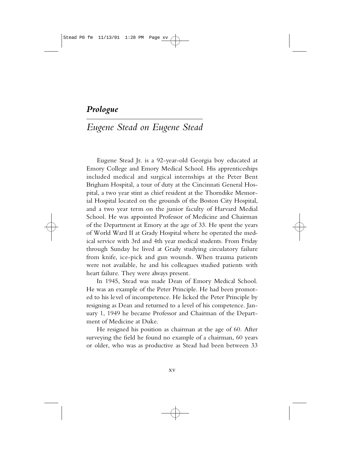# *Prologue*

# *Eugene Stead on Eugene Stead*

Eugene Stead Jr. is a 92-year-old Georgia boy educated at Emory College and Emory Medical School. His apprenticeships included medical and surgical internships at the Peter Bent Brigham Hospital, a tour of duty at the Cincinnati General Hospital, a two year stint as chief resident at the Thorndike Memorial Hospital located on the grounds of the Boston City Hospital, and a two year term on the junior faculty of Harvard Medial School. He was appointed Professor of Medicine and Chairman of the Department at Emory at the age of 33. He spent the years of World Ward II at Grady Hospital where he operated the medical service with 3rd and 4th year medical students. From Friday through Sunday he lived at Grady studying circulatory failure from knife, ice-pick and gun wounds. When trauma patients were not available, he and his colleagues studied patients with heart failure. They were always present.

In 1945, Stead was made Dean of Emory Medical School. He was an example of the Peter Principle. He had been promoted to his level of incompetence. He licked the Peter Principle by resigning as Dean and returned to a level of his competence. January 1, 1949 he became Professor and Chairman of the Department of Medicine at Duke.

He resigned his position as chairman at the age of 60. After surveying the field he found no example of a chairman, 60 years or older, who was as productive as Stead had been between 33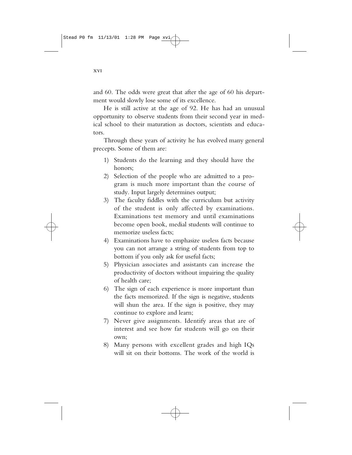and 60. The odds were great that after the age of 60 his department would slowly lose some of its excellence.

He is still active at the age of 92. He has had an unusual opportunity to observe students from their second year in medical school to their maturation as doctors, scientists and educators.

Through these years of activity he has evolved many general precepts. Some of them are:

- 1) Students do the learning and they should have the honors;
- 2) Selection of the people who are admitted to a program is much more important than the course of study. Input largely determines output;
- 3) The faculty fiddles with the curriculum but activity of the student is only affected by examinations. Examinations test memory and until examinations become open book, medial students will continue to memorize useless facts;
- 4) Examinations have to emphasize useless facts because you can not arrange a string of students from top to bottom if you only ask for useful facts;
- 5) Physician associates and assistants can increase the productivity of doctors without impairing the quality of health care;
- 6) The sign of each experience is more important than the facts memorized. If the sign is negative, students will shun the area. If the sign is positive, they may continue to explore and learn;
- 7) Never give assignments. Identify areas that are of interest and see how far students will go on their own;
- 8) Many persons with excellent grades and high IQs will sit on their bottoms. The work of the world is

XVI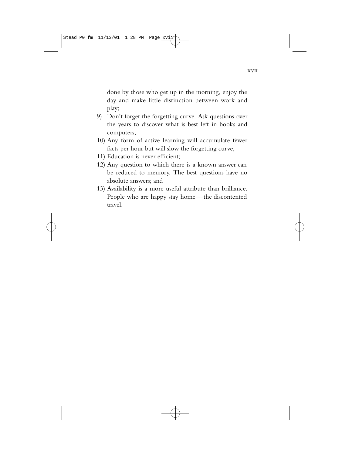XVII

done by those who get up in the morning, enjoy the day and make little distinction between work and play;

- 9) Don't forget the forgetting curve. Ask questions over the years to discover what is best left in books and computers;
- 10) Any form of active learning will accumulate fewer facts per hour but will slow the forgetting curve;
- 11) Education is never efficient;
- 12) Any question to which there is a known answer can be reduced to memory. The best questions have no absolute answers; and
- 13) Availability is a more useful attribute than brilliance. People who are happy stay home—the discontented travel.